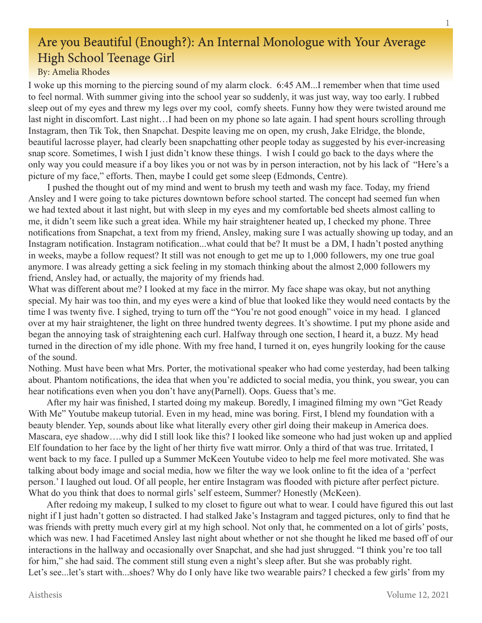## Are you Beautiful (Enough?): An Internal Monologue with Your Average High School Teenage Girl

## By: Amelia Rhodes

I woke up this morning to the piercing sound of my alarm clock. 6:45 AM...I remember when that time used to feel normal. With summer giving into the school year so suddenly, it was just way, way too early. I rubbed sleep out of my eyes and threw my legs over my cool, comfy sheets. Funny how they were twisted around me last night in discomfort. Last night…I had been on my phone so late again. I had spent hours scrolling through Instagram, then Tik Tok, then Snapchat. Despite leaving me on open, my crush, Jake Elridge, the blonde, beautiful lacrosse player, had clearly been snapchatting other people today as suggested by his ever-increasing snap score. Sometimes, I wish I just didn't know these things. I wish I could go back to the days where the only way you could measure if a boy likes you or not was by in person interaction, not by his lack of "Here's a picture of my face," efforts. Then, maybe I could get some sleep (Edmonds, Centre).

 I pushed the thought out of my mind and went to brush my teeth and wash my face. Today, my friend Ansley and I were going to take pictures downtown before school started. The concept had seemed fun when we had texted about it last night, but with sleep in my eyes and my comfortable bed sheets almost calling to me, it didn't seem like such a great idea. While my hair straightener heated up, I checked my phone. Three notifications from Snapchat, a text from my friend, Ansley, making sure I was actually showing up today, and an Instagram notification. Instagram notification...what could that be? It must be a DM, I hadn't posted anything in weeks, maybe a follow request? It still was not enough to get me up to 1,000 followers, my one true goal anymore. I was already getting a sick feeling in my stomach thinking about the almost 2,000 followers my friend, Ansley had, or actually, the majority of my friends had.

What was different about me? I looked at my face in the mirror. My face shape was okay, but not anything special. My hair was too thin, and my eyes were a kind of blue that looked like they would need contacts by the time I was twenty five. I sighed, trying to turn off the "You're not good enough" voice in my head. I glanced over at my hair straightener, the light on three hundred twenty degrees. It's showtime. I put my phone aside and began the annoying task of straightening each curl. Halfway through one section, I heard it, a buzz. My head turned in the direction of my idle phone. With my free hand, I turned it on, eyes hungrily looking for the cause of the sound.

Nothing. Must have been what Mrs. Porter, the motivational speaker who had come yesterday, had been talking about. Phantom notifications, the idea that when you're addicted to social media, you think, you swear, you can hear notifications even when you don't have any(Parnell). Oops. Guess that's me.

 After my hair was finished, I started doing my makeup. Boredly, I imagined filming my own "Get Ready With Me" Youtube makeup tutorial. Even in my head, mine was boring. First, I blend my foundation with a beauty blender. Yep, sounds about like what literally every other girl doing their makeup in America does. Mascara, eye shadow….why did I still look like this? I looked like someone who had just woken up and applied Elf foundation to her face by the light of her thirty five watt mirror. Only a third of that was true. Irritated, I went back to my face. I pulled up a Summer McKeen Youtube video to help me feel more motivated. She was talking about body image and social media, how we filter the way we look online to fit the idea of a 'perfect person.' I laughed out loud. Of all people, her entire Instagram was flooded with picture after perfect picture. What do you think that does to normal girls' self esteem, Summer? Honestly (McKeen).

 After redoing my makeup, I sulked to my closet to figure out what to wear. I could have figured this out last night if I just hadn't gotten so distracted. I had stalked Jake's Instagram and tagged pictures, only to find that he was friends with pretty much every girl at my high school. Not only that, he commented on a lot of girls' posts, which was new. I had Facetimed Ansley last night about whether or not she thought he liked me based off of our interactions in the hallway and occasionally over Snapchat, and she had just shrugged. "I think you're too tall for him," she had said. The comment still stung even a night's sleep after. But she was probably right. Let's see...let's start with...shoes? Why do I only have like two wearable pairs? I checked a few girls' from my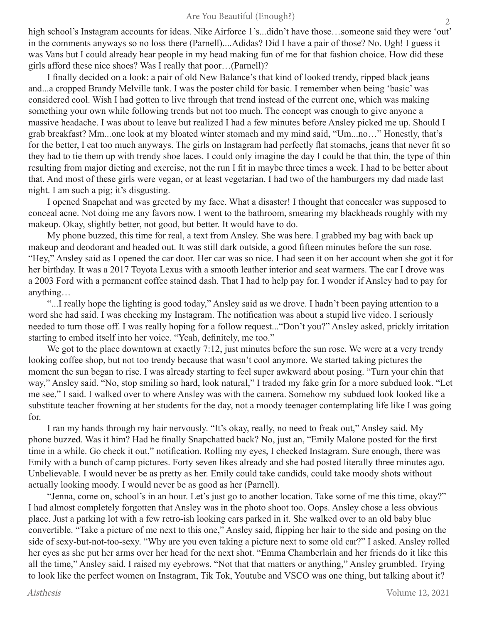high school's Instagram accounts for ideas. Nike Airforce 1's...didn't have those...someone said they were 'out' in the comments anyways so no loss there (Parnell)....Adidas? Did I have a pair of those? No. Ugh! I guess it was Vans but I could already hear people in my head making fun of me for that fashion choice. How did these girls afford these nice shoes? Was I really that poor…(Parnell)?

 I finally decided on a look: a pair of old New Balance's that kind of looked trendy, ripped black jeans and...a cropped Brandy Melville tank. I was the poster child for basic. I remember when being 'basic' was considered cool. Wish I had gotten to live through that trend instead of the current one, which was making something your own while following trends but not too much. The concept was enough to give anyone a massive headache. I was about to leave but realized I had a few minutes before Ansley picked me up. Should I grab breakfast? Mm...one look at my bloated winter stomach and my mind said, "Um...no…" Honestly, that's for the better, I eat too much anyways. The girls on Instagram had perfectly flat stomachs, jeans that never fit so they had to tie them up with trendy shoe laces. I could only imagine the day I could be that thin, the type of thin resulting from major dieting and exercise, not the run I fit in maybe three times a week. I had to be better about that. And most of these girls were vegan, or at least vegetarian. I had two of the hamburgers my dad made last night. I am such a pig; it's disgusting.

 I opened Snapchat and was greeted by my face. What a disaster! I thought that concealer was supposed to conceal acne. Not doing me any favors now. I went to the bathroom, smearing my blackheads roughly with my makeup. Okay, slightly better, not good, but better. It would have to do.

 My phone buzzed, this time for real, a text from Ansley. She was here. I grabbed my bag with back up makeup and deodorant and headed out. It was still dark outside, a good fifteen minutes before the sun rose. "Hey," Ansley said as I opened the car door. Her car was so nice. I had seen it on her account when she got it for her birthday. It was a 2017 Toyota Lexus with a smooth leather interior and seat warmers. The car I drove was a 2003 Ford with a permanent coffee stained dash. That I had to help pay for. I wonder if Ansley had to pay for anything…

 "...I really hope the lighting is good today," Ansley said as we drove. I hadn't been paying attention to a word she had said. I was checking my Instagram. The notification was about a stupid live video. I seriously needed to turn those off. I was really hoping for a follow request..."Don't you?" Ansley asked, prickly irritation starting to embed itself into her voice. "Yeah, definitely, me too."

We got to the place downtown at exactly 7:12, just minutes before the sun rose. We were at a very trendy looking coffee shop, but not too trendy because that wasn't cool anymore. We started taking pictures the moment the sun began to rise. I was already starting to feel super awkward about posing. "Turn your chin that way," Ansley said. "No, stop smiling so hard, look natural," I traded my fake grin for a more subdued look. "Let me see," I said. I walked over to where Ansley was with the camera. Somehow my subdued look looked like a substitute teacher frowning at her students for the day, not a moody teenager contemplating life like I was going for.

 I ran my hands through my hair nervously. "It's okay, really, no need to freak out," Ansley said. My phone buzzed. Was it him? Had he finally Snapchatted back? No, just an, "Emily Malone posted for the first time in a while. Go check it out," notification. Rolling my eyes, I checked Instagram. Sure enough, there was Emily with a bunch of camp pictures. Forty seven likes already and she had posted literally three minutes ago. Unbelievable. I would never be as pretty as her. Emily could take candids, could take moody shots without actually looking moody. I would never be as good as her (Parnell).

 "Jenna, come on, school's in an hour. Let's just go to another location. Take some of me this time, okay?" I had almost completely forgotten that Ansley was in the photo shoot too. Oops. Ansley chose a less obvious place. Just a parking lot with a few retro-ish looking cars parked in it. She walked over to an old baby blue convertible. "Take a picture of me next to this one," Ansley said, flipping her hair to the side and posing on the side of sexy-but-not-too-sexy. "Why are you even taking a picture next to some old car?" I asked. Ansley rolled her eyes as she put her arms over her head for the next shot. "Emma Chamberlain and her friends do it like this all the time," Ansley said. I raised my eyebrows. "Not that that matters or anything," Ansley grumbled. Trying to look like the perfect women on Instagram, Tik Tok, Youtube and VSCO was one thing, but talking about it?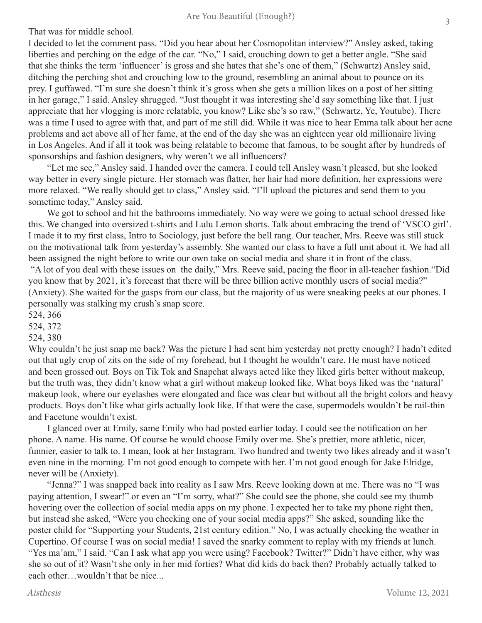That was for middle school.

I decided to let the comment pass. "Did you hear about her Cosmopolitan interview?" Ansley asked, taking liberties and perching on the edge of the car. "No," I said, crouching down to get a better angle. "She said that she thinks the term 'influencer' is gross and she hates that she's one of them," (Schwartz) Ansley said, ditching the perching shot and crouching low to the ground, resembling an animal about to pounce on its prey. I guffawed. "I'm sure she doesn't think it's gross when she gets a million likes on a post of her sitting in her garage," I said. Ansley shrugged. "Just thought it was interesting she'd say something like that. I just appreciate that her vlogging is more relatable, you know? Like she's so raw," (Schwartz, Ye, Youtube). There was a time I used to agree with that, and part of me still did. While it was nice to hear Emma talk about her acne problems and act above all of her fame, at the end of the day she was an eighteen year old millionaire living in Los Angeles. And if all it took was being relatable to become that famous, to be sought after by hundreds of sponsorships and fashion designers, why weren't we all influencers?

 "Let me see," Ansley said. I handed over the camera. I could tell Ansley wasn't pleased, but she looked way better in every single picture. Her stomach was flatter, her hair had more definition, her expressions were more relaxed. "We really should get to class," Ansley said. "I'll upload the pictures and send them to you sometime today," Ansley said.

We got to school and hit the bathrooms immediately. No way were we going to actual school dressed like this. We changed into oversized t-shirts and Lulu Lemon shorts. Talk about embracing the trend of 'VSCO girl'. I made it to my first class, Intro to Sociology, just before the bell rang. Our teacher, Mrs. Reeve was still stuck on the motivational talk from yesterday's assembly. She wanted our class to have a full unit about it. We had all been assigned the night before to write our own take on social media and share it in front of the class. "A lot of you deal with these issues on the daily," Mrs. Reeve said, pacing the floor in all-teacher fashion."Did you know that by 2021, it's forecast that there will be three billion active monthly users of social media?" (Anxiety). She waited for the gasps from our class, but the majority of us were sneaking peeks at our phones. I personally was stalking my crush's snap score.

524, 366

524, 372

524, 380

Why couldn't he just snap me back? Was the picture I had sent him yesterday not pretty enough? I hadn't edited out that ugly crop of zits on the side of my forehead, but I thought he wouldn't care. He must have noticed and been grossed out. Boys on Tik Tok and Snapchat always acted like they liked girls better without makeup, but the truth was, they didn't know what a girl without makeup looked like. What boys liked was the 'natural' makeup look, where our eyelashes were elongated and face was clear but without all the bright colors and heavy products. Boys don't like what girls actually look like. If that were the case, supermodels wouldn't be rail-thin and Facetune wouldn't exist.

 I glanced over at Emily, same Emily who had posted earlier today. I could see the notification on her phone. A name. His name. Of course he would choose Emily over me. She's prettier, more athletic, nicer, funnier, easier to talk to. I mean, look at her Instagram. Two hundred and twenty two likes already and it wasn't even nine in the morning. I'm not good enough to compete with her. I'm not good enough for Jake Elridge, never will be (Anxiety).

 "Jenna?" I was snapped back into reality as I saw Mrs. Reeve looking down at me. There was no "I was paying attention, I swear!" or even an "I'm sorry, what?" She could see the phone, she could see my thumb hovering over the collection of social media apps on my phone. I expected her to take my phone right then, but instead she asked, "Were you checking one of your social media apps?" She asked, sounding like the poster child for "Supporting your Students, 21st century edition." No, I was actually checking the weather in Cupertino. Of course I was on social media! I saved the snarky comment to replay with my friends at lunch. "Yes ma'am," I said. "Can I ask what app you were using? Facebook? Twitter?" Didn't have either, why was she so out of it? Wasn't she only in her mid forties? What did kids do back then? Probably actually talked to each other…wouldn't that be nice...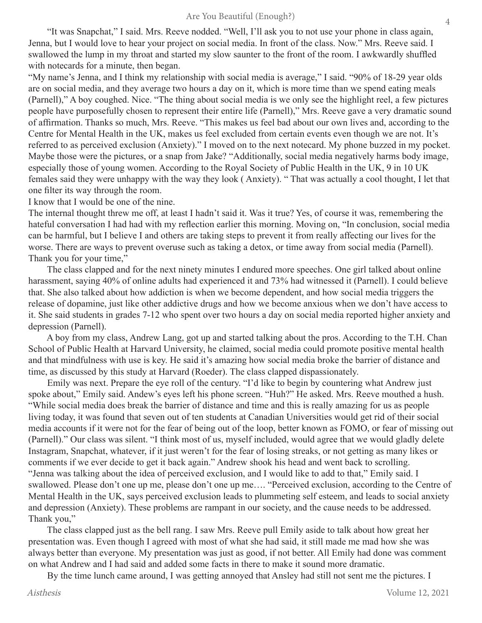"It was Snapchat," I said. Mrs. Reeve nodded. "Well, I'll ask you to not use your phone in class again, Jenna, but I would love to hear your project on social media. In front of the class. Now." Mrs. Reeve said. I swallowed the lump in my throat and started my slow saunter to the front of the room. I awkwardly shuffled with notecards for a minute, then began.

"My name's Jenna, and I think my relationship with social media is average," I said. "90% of 18-29 year olds are on social media, and they average two hours a day on it, which is more time than we spend eating meals (Parnell)," A boy coughed. Nice. "The thing about social media is we only see the highlight reel, a few pictures people have purposefully chosen to represent their entire life (Parnell)," Mrs. Reeve gave a very dramatic sound of affirmation. Thanks so much, Mrs. Reeve. "This makes us feel bad about our own lives and, according to the Centre for Mental Health in the UK, makes us feel excluded from certain events even though we are not. It's referred to as perceived exclusion (Anxiety)." I moved on to the next notecard. My phone buzzed in my pocket. Maybe those were the pictures, or a snap from Jake? "Additionally, social media negatively harms body image, especially those of young women. According to the Royal Society of Public Health in the UK, 9 in 10 UK females said they were unhappy with the way they look ( Anxiety). " That was actually a cool thought, I let that one filter its way through the room.

I know that I would be one of the nine.

The internal thought threw me off, at least I hadn't said it. Was it true? Yes, of course it was, remembering the hateful conversation I had had with my reflection earlier this morning. Moving on, "In conclusion, social media can be harmful, but I believe I and others are taking steps to prevent it from really affecting our lives for the worse. There are ways to prevent overuse such as taking a detox, or time away from social media (Parnell). Thank you for your time,"

 The class clapped and for the next ninety minutes I endured more speeches. One girl talked about online harassment, saying 40% of online adults had experienced it and 73% had witnessed it (Parnell). I could believe that. She also talked about how addiction is when we become dependent, and how social media triggers the release of dopamine, just like other addictive drugs and how we become anxious when we don't have access to it. She said students in grades 7-12 who spent over two hours a day on social media reported higher anxiety and depression (Parnell).

 A boy from my class, Andrew Lang, got up and started talking about the pros. According to the T.H. Chan School of Public Health at Harvard University, he claimed, social media could promote positive mental health and that mindfulness with use is key. He said it's amazing how social media broke the barrier of distance and time, as discussed by this study at Harvard (Roeder). The class clapped dispassionately.

 Emily was next. Prepare the eye roll of the century. "I'd like to begin by countering what Andrew just spoke about," Emily said. Andew's eyes left his phone screen. "Huh?" He asked. Mrs. Reeve mouthed a hush. "While social media does break the barrier of distance and time and this is really amazing for us as people living today, it was found that seven out of ten students at Canadian Universities would get rid of their social media accounts if it were not for the fear of being out of the loop, better known as FOMO, or fear of missing out (Parnell)." Our class was silent. "I think most of us, myself included, would agree that we would gladly delete Instagram, Snapchat, whatever, if it just weren't for the fear of losing streaks, or not getting as many likes or comments if we ever decide to get it back again." Andrew shook his head and went back to scrolling. "Jenna was talking about the idea of perceived exclusion, and I would like to add to that," Emily said. I swallowed. Please don't one up me, please don't one up me…. "Perceived exclusion, according to the Centre of Mental Health in the UK, says perceived exclusion leads to plummeting self esteem, and leads to social anxiety and depression (Anxiety). These problems are rampant in our society, and the cause needs to be addressed. Thank you,"

 The class clapped just as the bell rang. I saw Mrs. Reeve pull Emily aside to talk about how great her presentation was. Even though I agreed with most of what she had said, it still made me mad how she was always better than everyone. My presentation was just as good, if not better. All Emily had done was comment on what Andrew and I had said and added some facts in there to make it sound more dramatic.

By the time lunch came around, I was getting annoyed that Ansley had still not sent me the pictures. I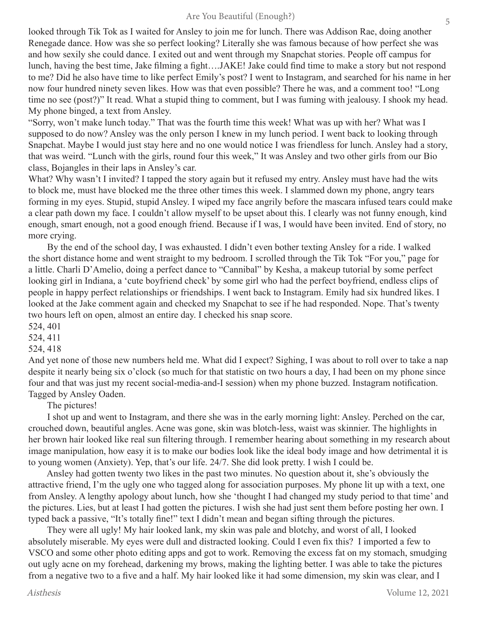looked through Tik Tok as I waited for Ansley to join me for lunch. There was Addison Rae, doing another Renegade dance. How was she so perfect looking? Literally she was famous because of how perfect she was and how sexily she could dance. I exited out and went through my Snapchat stories. People off campus for lunch, having the best time, Jake filming a fight….JAKE! Jake could find time to make a story but not respond to me? Did he also have time to like perfect Emily's post? I went to Instagram, and searched for his name in her now four hundred ninety seven likes. How was that even possible? There he was, and a comment too! "Long time no see (post?)" It read. What a stupid thing to comment, but I was fuming with jealousy. I shook my head. My phone binged, a text from Ansley.

"Sorry, won't make lunch today." That was the fourth time this week! What was up with her? What was I supposed to do now? Ansley was the only person I knew in my lunch period. I went back to looking through Snapchat. Maybe I would just stay here and no one would notice I was friendless for lunch. Ansley had a story, that was weird. "Lunch with the girls, round four this week," It was Ansley and two other girls from our Bio class, Bojangles in their laps in Ansley's car.

What? Why wasn't I invited? I tapped the story again but it refused my entry. Ansley must have had the wits to block me, must have blocked me the three other times this week. I slammed down my phone, angry tears forming in my eyes. Stupid, stupid Ansley. I wiped my face angrily before the mascara infused tears could make a clear path down my face. I couldn't allow myself to be upset about this. I clearly was not funny enough, kind enough, smart enough, not a good enough friend. Because if I was, I would have been invited. End of story, no more crying.

 By the end of the school day, I was exhausted. I didn't even bother texting Ansley for a ride. I walked the short distance home and went straight to my bedroom. I scrolled through the Tik Tok "For you," page for a little. Charli D'Amelio, doing a perfect dance to "Cannibal" by Kesha, a makeup tutorial by some perfect looking girl in Indiana, a 'cute boyfriend check' by some girl who had the perfect boyfriend, endless clips of people in happy perfect relationships or friendships. I went back to Instagram. Emily had six hundred likes. I looked at the Jake comment again and checked my Snapchat to see if he had responded. Nope. That's twenty two hours left on open, almost an entire day. I checked his snap score.

524, 401

524, 411

524, 418

And yet none of those new numbers held me. What did I expect? Sighing, I was about to roll over to take a nap despite it nearly being six o'clock (so much for that statistic on two hours a day, I had been on my phone since four and that was just my recent social-media-and-I session) when my phone buzzed. Instagram notification. Tagged by Ansley Oaden.

The pictures!

 I shot up and went to Instagram, and there she was in the early morning light: Ansley. Perched on the car, crouched down, beautiful angles. Acne was gone, skin was blotch-less, waist was skinnier. The highlights in her brown hair looked like real sun filtering through. I remember hearing about something in my research about image manipulation, how easy it is to make our bodies look like the ideal body image and how detrimental it is to young women (Anxiety). Yep, that's our life. 24/7. She did look pretty. I wish I could be.

 Ansley had gotten twenty two likes in the past two minutes. No question about it, she's obviously the attractive friend, I'm the ugly one who tagged along for association purposes. My phone lit up with a text, one from Ansley. A lengthy apology about lunch, how she 'thought I had changed my study period to that time' and the pictures. Lies, but at least I had gotten the pictures. I wish she had just sent them before posting her own. I typed back a passive, "It's totally fine!" text I didn't mean and began sifting through the pictures.

 They were all ugly! My hair looked lank, my skin was pale and blotchy, and worst of all, I looked absolutely miserable. My eyes were dull and distracted looking. Could I even fix this? I imported a few to VSCO and some other photo editing apps and got to work. Removing the excess fat on my stomach, smudging out ugly acne on my forehead, darkening my brows, making the lighting better. I was able to take the pictures from a negative two to a five and a half. My hair looked like it had some dimension, my skin was clear, and I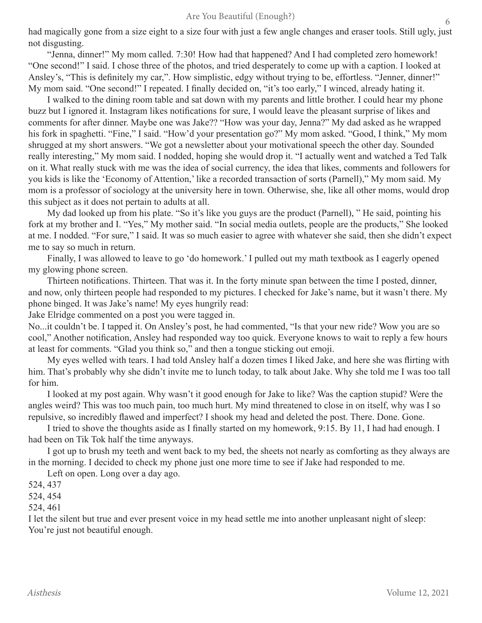had magically gone from a size eight to a size four with just a few angle changes and eraser tools. Still ugly, just not disgusting.

 "Jenna, dinner!" My mom called. 7:30! How had that happened? And I had completed zero homework! "One second!" I said. I chose three of the photos, and tried desperately to come up with a caption. I looked at Ansley's, "This is definitely my car,". How simplistic, edgy without trying to be, effortless. "Jenner, dinner!" My mom said. "One second!" I repeated. I finally decided on, "it's too early," I winced, already hating it.

 I walked to the dining room table and sat down with my parents and little brother. I could hear my phone buzz but I ignored it. Instagram likes notifications for sure, I would leave the pleasant surprise of likes and comments for after dinner. Maybe one was Jake?? "How was your day, Jenna?" My dad asked as he wrapped his fork in spaghetti. "Fine," I said. "How'd your presentation go?" My mom asked. "Good, I think," My mom shrugged at my short answers. "We got a newsletter about your motivational speech the other day. Sounded really interesting," My mom said. I nodded, hoping she would drop it. "I actually went and watched a Ted Talk on it. What really stuck with me was the idea of social currency, the idea that likes, comments and followers for you kids is like the 'Economy of Attention,' like a recorded transaction of sorts (Parnell)," My mom said. My mom is a professor of sociology at the university here in town. Otherwise, she, like all other moms, would drop this subject as it does not pertain to adults at all.

 My dad looked up from his plate. "So it's like you guys are the product (Parnell), " He said, pointing his fork at my brother and I. "Yes," My mother said. "In social media outlets, people are the products," She looked at me. I nodded. "For sure," I said. It was so much easier to agree with whatever she said, then she didn't expect me to say so much in return.

 Finally, I was allowed to leave to go 'do homework.' I pulled out my math textbook as I eagerly opened my glowing phone screen.

 Thirteen notifications. Thirteen. That was it. In the forty minute span between the time I posted, dinner, and now, only thirteen people had responded to my pictures. I checked for Jake's name, but it wasn't there. My phone binged. It was Jake's name! My eyes hungrily read:

Jake Elridge commented on a post you were tagged in.

No...it couldn't be. I tapped it. On Ansley's post, he had commented, "Is that your new ride? Wow you are so cool," Another notification, Ansley had responded way too quick. Everyone knows to wait to reply a few hours at least for comments. "Glad you think so," and then a tongue sticking out emoji.

 My eyes welled with tears. I had told Ansley half a dozen times I liked Jake, and here she was flirting with him. That's probably why she didn't invite me to lunch today, to talk about Jake. Why she told me I was too tall for him.

 I looked at my post again. Why wasn't it good enough for Jake to like? Was the caption stupid? Were the angles weird? This was too much pain, too much hurt. My mind threatened to close in on itself, why was I so repulsive, so incredibly flawed and imperfect? I shook my head and deleted the post. There. Done. Gone.

 I tried to shove the thoughts aside as I finally started on my homework, 9:15. By 11, I had had enough. I had been on Tik Tok half the time anyways.

 I got up to brush my teeth and went back to my bed, the sheets not nearly as comforting as they always are in the morning. I decided to check my phone just one more time to see if Jake had responded to me.

Left on open. Long over a day ago.

524, 437

524, 454

524, 461

I let the silent but true and ever present voice in my head settle me into another unpleasant night of sleep: You're just not beautiful enough.